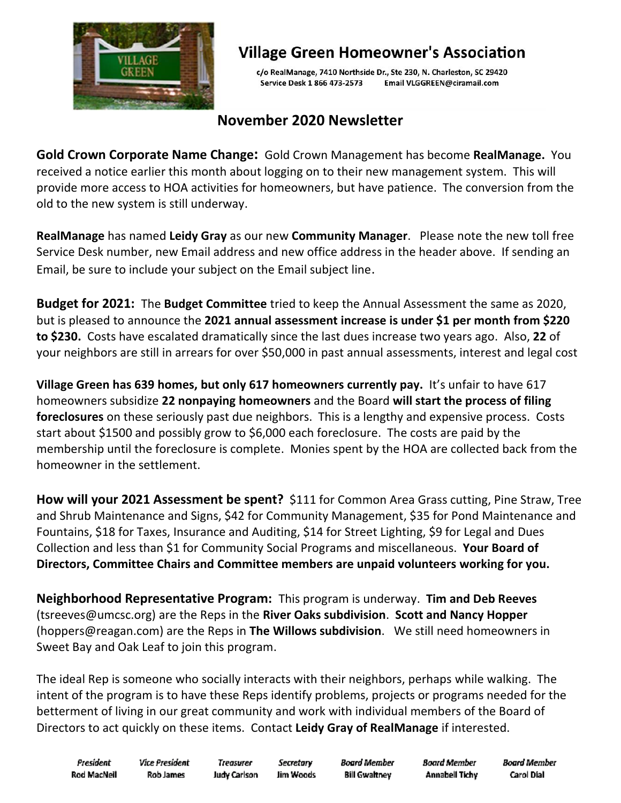

## **Village Green Homeowner's Association**

c/o RealManage, 7410 Northside Dr., Ste 230, N. Charleston, SC 29420 Service Desk 1 866 473-2573 Email VLGGREEN@ciramail.com

## **November 2020 Newsletter**

**Gold Crown Corporate Name Change:** Gold Crown Management has become **RealManage.** You received a notice earlier this month about logging on to their new management system. This will provide more access to HOA activities for homeowners, but have patience. The conversion from the old to the new system is still underway.

**RealManage** has named **Leidy Gray** as our new **Community Manager**. Please note the new toll free Service Desk number, new Email address and new office address in the header above. If sending an Email, be sure to include your subject on the Email subject line.

**Budget for 2021:** The **Budget Committee** tried to keep the Annual Assessment the same as 2020, but is pleased to announce the **2021 annual assessment increase is under \$1 per month from \$220 to \$230.** Costs have escalated dramatically since the last dues increase two years ago. Also, **22** of your neighbors are still in arrears for over \$50,000 in past annual assessments, interest and legal cost

**Village Green has 639 homes, but only 617 homeowners currently pay.** It's unfair to have 617 homeowners subsidize **22 nonpaying homeowners** and the Board **will start the process of filing foreclosures** on these seriously past due neighbors. This is a lengthy and expensive process. Costs start about \$1500 and possibly grow to \$6,000 each foreclosure. The costs are paid by the membership until the foreclosure is complete. Monies spent by the HOA are collected back from the homeowner in the settlement.

**How will your 2021 Assessment be spent?** \$111 for Common Area Grass cutting, Pine Straw, Tree and Shrub Maintenance and Signs, \$42 for Community Management, \$35 for Pond Maintenance and Fountains, \$18 for Taxes, Insurance and Auditing, \$14 for Street Lighting, \$9 for Legal and Dues Collection and less than \$1 for Community Social Programs and miscellaneous. **Your Board of Directors, Committee Chairs and Committee members are unpaid volunteers working for you.**

**Neighborhood Representative Program:** This program is underway. **Tim and Deb Reeves** (tsreeves@umcsc.org) are the Reps in the **River Oaks subdivision**. **Scott and Nancy Hopper** (hoppers@reagan.com) are the Reps in **The Willows subdivision**. We still need homeowners in Sweet Bay and Oak Leaf to join this program.

The ideal Rep is someone who socially interacts with their neighbors, perhaps while walking. The intent of the program is to have these Reps identify problems, projects or programs needed for the betterment of living in our great community and work with individual members of the Board of Directors to act quickly on these items. Contact **Leidy Gray of RealManage** if interested.

President Rod MacNell **Vice President Rob James** 

**Treasurer** Secretary **Judy Carlson** Jim Woods

Board Member **Bill Gwaltney** 

**Board Member Annabell Tichy**  **Board Member** Carol Dial